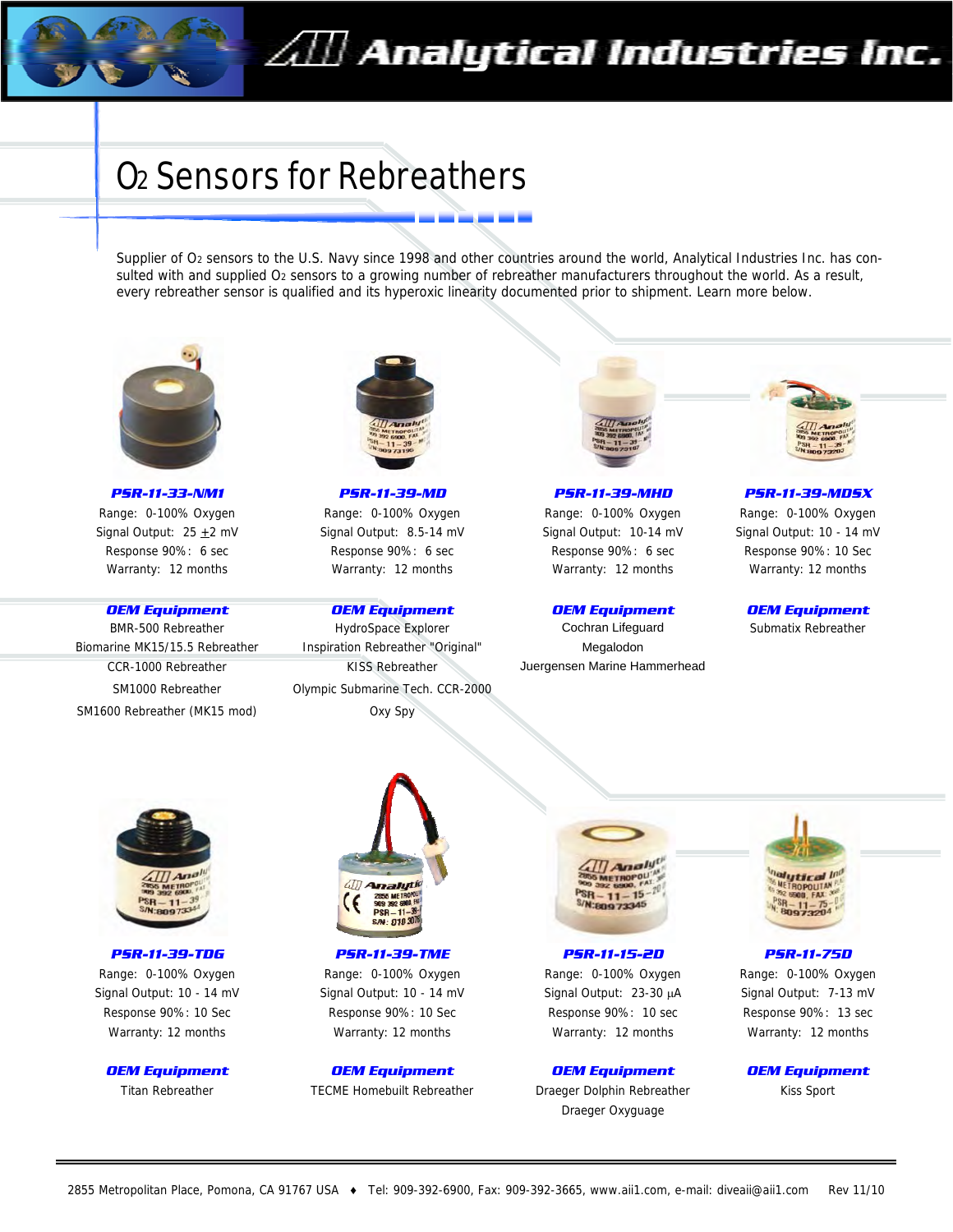

# O2 Sensors for Rebreathers

Supplier of O<sub>2</sub> sensors to the U.S. Navy since 1998 and other countries around the world, Analytical Industries Inc. has consulted with and supplied O<sub>2</sub> sensors to a growing number of rebreather manufacturers throughout the world. As a result, every rebreather sensor is qualified and its hyperoxic linearity documented prior to shipment. Learn more below.



*PSR-11-33-NM1*  Range: 0-100% Oxygen Signal Output:  $25 + 2$  mV Response 90%: 6 sec Warranty: 12 months

#### *OEM Equipment*

BMR-500 Rebreather Biomarine MK15/15.5 Rebreather CCR-1000 Rebreather SM1000 Rebreather SM1600 Rebreather (MK15 mod)



*PSR-11-39-MD*  Range: 0-100% Oxygen Signal Output: 8.5-14 mV Response 90%: 6 sec Warranty: 12 months

#### *OEM Equipment*

HydroSpace Explorer Inspiration Rebreather "Original" KISS Rebreather Olympic Submarine Tech. CCR-2000 Oxy Spy



*PSR-11-39-MHD*  Range: 0-100% Oxygen Signal Output: 10-14 mV Response 90%: 6 sec Warranty: 12 months

#### *OEM Equipment*

Cochran Lifeguard Megalodon Juergensen Marine Hammerhead



*PSR-11-39-MDSX*  Range: 0-100% Oxygen Signal Output: 10 - 14 mV Response 90%: 10 Sec Warranty: 12 months

*OEM Equipment*  Submatix Rebreather





*PSR-11-39-TDG PSR-11-39-TME PSR-11-75D*  Range: 0-100% Oxygen Range: 0-100% Oxygen Range: 0-100% Oxygen Range: 0-100% Oxygen Signal Output: 10 - 14 mV Signal Output: 10 - 14 mV Signal Output: 23-30 μA Signal Output: 7-13 mV Response 90%: 10 Sec Response 90%: 10 Sec Response 90%: 10 sec Response 90%: 13 sec Warranty: 12 months Warranty: 12 months Warranty: 12 months Warranty: 12 months

*OEM Equipment OEM Equipment OEM Equipment OEM Equipment*  Titan Rebreather TECME Homebuilt Rebreather Braeger Dolphin Rebreather Kiss Sport



*PSR-11-15-2D* 

Draeger Oxyguage